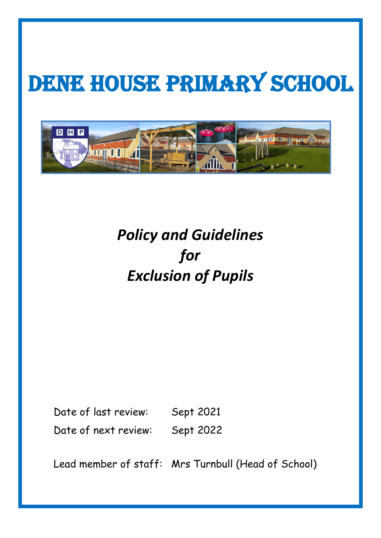# DENE HOUSE PRIMARY SCHOOL



*Policy and Guidelines for Exclusion of Pupils*

Date of last review: Sept 2021

Date of next review: Sept 2022

Lead member of staff: Mrs Turnbull (Head of School)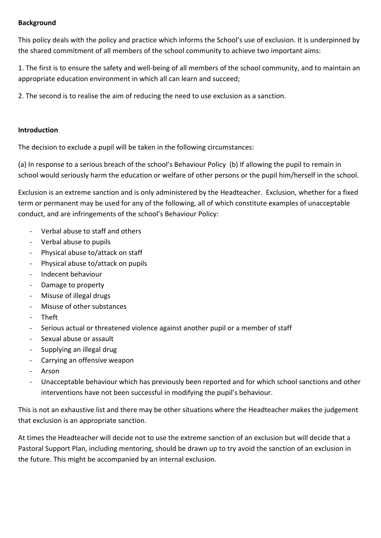### **Background**

This policy deals with the policy and practice which informs the School's use of exclusion. It is underpinned by the shared commitment of all members of the school community to achieve two important aims:

1. The first is to ensure the safety and well-being of all members of the school community, and to maintain an appropriate education environment in which all can learn and succeed;

2. The second is to realise the aim of reducing the need to use exclusion as a sanction.

## **Introduction**

The decision to exclude a pupil will be taken in the following circumstances:

(a) In response to a serious breach of the school's Behaviour Policy (b) If allowing the pupil to remain in school would seriously harm the education or welfare of other persons or the pupil him/herself in the school.

Exclusion is an extreme sanction and is only administered by the Headteacher. Exclusion, whether for a fixed term or permanent may be used for any of the following, all of which constitute examples of unacceptable conduct, and are infringements of the school's Behaviour Policy:

- Verbal abuse to staff and others
- Verbal abuse to pupils
- Physical abuse to/attack on staff
- Physical abuse to/attack on pupils
- Indecent behaviour
- Damage to property
- Misuse of illegal drugs
- Misuse of other substances
- Theft
- Serious actual or threatened violence against another pupil or a member of staff
- Sexual abuse or assault
- Supplying an illegal drug
- Carrying an offensive weapon
- Arson
- Unacceptable behaviour which has previously been reported and for which school sanctions and other interventions have not been successful in modifying the pupil's behaviour.

This is not an exhaustive list and there may be other situations where the Headteacher makes the judgement that exclusion is an appropriate sanction.

At times the Headteacher will decide not to use the extreme sanction of an exclusion but will decide that a Pastoral Support Plan, including mentoring, should be drawn up to try avoid the sanction of an exclusion in the future. This might be accompanied by an internal exclusion.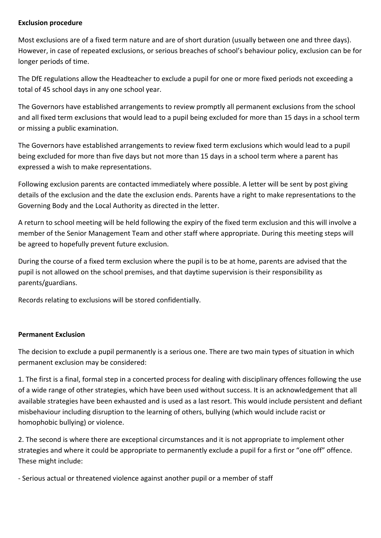#### **Exclusion procedure**

Most exclusions are of a fixed term nature and are of short duration (usually between one and three days). However, in case of repeated exclusions, or serious breaches of school's behaviour policy, exclusion can be for longer periods of time.

The DfE regulations allow the Headteacher to exclude a pupil for one or more fixed periods not exceeding a total of 45 school days in any one school year.

The Governors have established arrangements to review promptly all permanent exclusions from the school and all fixed term exclusions that would lead to a pupil being excluded for more than 15 days in a school term or missing a public examination.

The Governors have established arrangements to review fixed term exclusions which would lead to a pupil being excluded for more than five days but not more than 15 days in a school term where a parent has expressed a wish to make representations.

Following exclusion parents are contacted immediately where possible. A letter will be sent by post giving details of the exclusion and the date the exclusion ends. Parents have a right to make representations to the Governing Body and the Local Authority as directed in the letter.

A return to school meeting will be held following the expiry of the fixed term exclusion and this will involve a member of the Senior Management Team and other staff where appropriate. During this meeting steps will be agreed to hopefully prevent future exclusion.

During the course of a fixed term exclusion where the pupil is to be at home, parents are advised that the pupil is not allowed on the school premises, and that daytime supervision is their responsibility as parents/guardians.

Records relating to exclusions will be stored confidentially.

#### **Permanent Exclusion**

The decision to exclude a pupil permanently is a serious one. There are two main types of situation in which permanent exclusion may be considered:

1. The first is a final, formal step in a concerted process for dealing with disciplinary offences following the use of a wide range of other strategies, which have been used without success. It is an acknowledgement that all available strategies have been exhausted and is used as a last resort. This would include persistent and defiant misbehaviour including disruption to the learning of others, bullying (which would include racist or homophobic bullying) or violence.

2. The second is where there are exceptional circumstances and it is not appropriate to implement other strategies and where it could be appropriate to permanently exclude a pupil for a first or "one off" offence. These might include:

- Serious actual or threatened violence against another pupil or a member of staff